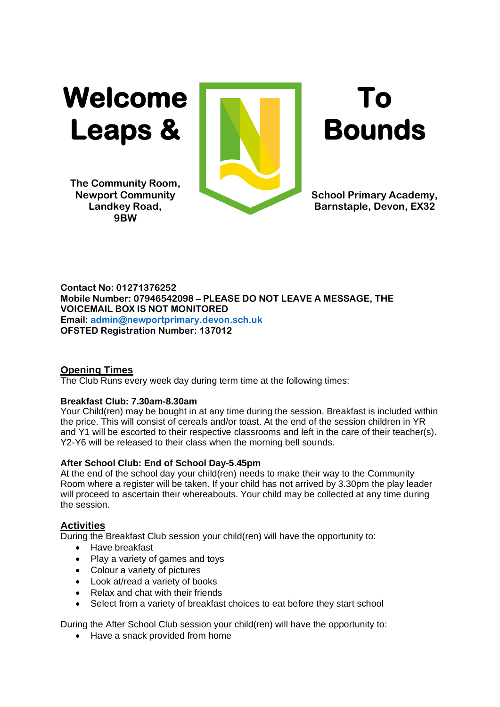Welcome **To To** Leaps & **Bounds** 

**The Community Room, 9BW**



**Newport Community School Primary Academy, Landkey Road, Barnstaple, Devon, EX32** 

**Contact No: 01271376252 Mobile Number: 07946542098 – PLEASE DO NOT LEAVE A MESSAGE, THE VOICEMAIL BOX IS NOT MONITORED Email: [admin@newportprimary.devon.sch.uk](mailto:admin@newportprimary.devon.sch.uk) OFSTED Registration Number: 137012**

# **Opening Times**

The Club Runs every week day during term time at the following times:

## **Breakfast Club: 7.30am-8.30am**

Your Child(ren) may be bought in at any time during the session. Breakfast is included within the price. This will consist of cereals and/or toast. At the end of the session children in YR and Y1 will be escorted to their respective classrooms and left in the care of their teacher(s). Y2-Y6 will be released to their class when the morning bell sounds.

# **After School Club: End of School Day-5.45pm**

At the end of the school day your child(ren) needs to make their way to the Community Room where a register will be taken. If your child has not arrived by 3.30pm the play leader will proceed to ascertain their whereabouts. Your child may be collected at any time during the session.

# **Activities**

During the Breakfast Club session your child(ren) will have the opportunity to:

- Have breakfast
- Play a variety of games and toys
- Colour a variety of pictures
- Look at/read a variety of books
- Relax and chat with their friends
- Select from a variety of breakfast choices to eat before they start school

During the After School Club session your child(ren) will have the opportunity to:

• Have a snack provided from home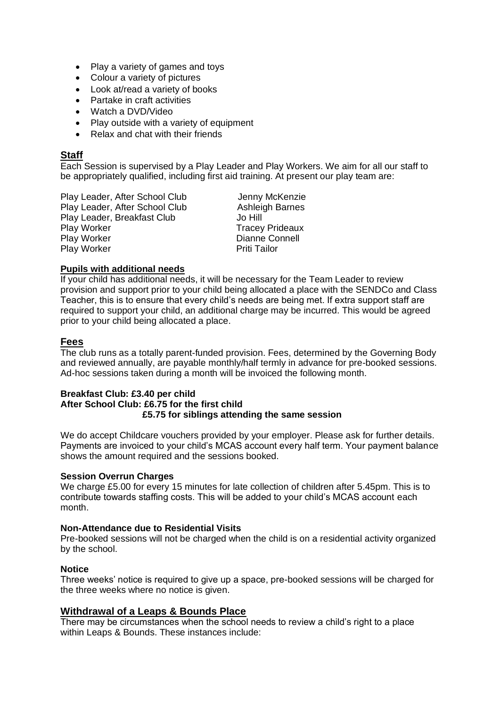- Play a variety of games and toys
- Colour a variety of pictures
- Look at/read a variety of books
- Partake in craft activities
- Watch a DVD/Video
- Play outside with a variety of equipment
- Relax and chat with their friends

## **Staff**

Each Session is supervised by a Play Leader and Play Workers. We aim for all our staff to be appropriately qualified, including first aid training. At present our play team are:

Play Leader, After School Club Jenny McKenzie Play Leader, After School Club Ashleigh Barnes Play Leader, Breakfast Club Jo Hill Play Worker Tracey Prideaux Play Worker **Dianne Connell** Play Worker **Pridish Priti Tailor** Priti Tailor

### **Pupils with additional needs**

If your child has additional needs, it will be necessary for the Team Leader to review provision and support prior to your child being allocated a place with the SENDCo and Class Teacher, this is to ensure that every child's needs are being met. If extra support staff are required to support your child, an additional charge may be incurred. This would be agreed prior to your child being allocated a place.

### **Fees**

The club runs as a totally parent-funded provision. Fees, determined by the Governing Body and reviewed annually, are payable monthly/half termly in advance for pre-booked sessions. Ad-hoc sessions taken during a month will be invoiced the following month.

#### **Breakfast Club: £3.40 per child After School Club: £6.75 for the first child £5.75 for siblings attending the same session**

We do accept Childcare vouchers provided by your employer. Please ask for further details. Payments are invoiced to your child's MCAS account every half term. Your payment balance shows the amount required and the sessions booked.

### **Session Overrun Charges**

We charge £5.00 for every 15 minutes for late collection of children after 5.45pm. This is to contribute towards staffing costs. This will be added to your child's MCAS account each month.

#### **Non-Attendance due to Residential Visits**

Pre-booked sessions will not be charged when the child is on a residential activity organized by the school.

#### **Notice**

Three weeks' notice is required to give up a space, pre-booked sessions will be charged for the three weeks where no notice is given.

#### **Withdrawal of a Leaps & Bounds Place**

There may be circumstances when the school needs to review a child's right to a place within Leaps & Bounds. These instances include: